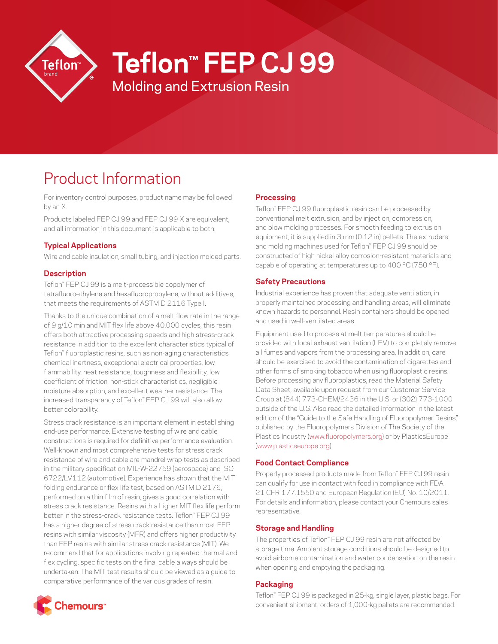

# **Teflon™ FEP CJ 99**

Molding and Extrusion Resin

# Product Information

For inventory control purposes, product name may be followed by an X.

Products labeled FEP CJ 99 and FEP CJ 99 X are equivalent, and all information in this document is applicable to both.

# **Typical Applications**

Wire and cable insulation, small tubing, and injection molded parts.

## **Description**

Teflon™ FEP CJ 99 is a melt-processible copolymer of tetrafluoroethylene and hexafluoropropylene, without additives, that meets the requirements of ASTM D 2116 Type I.

Thanks to the unique combination of a melt flow rate in the range of 9 g/10 min and MIT flex life above 40,000 cycles, this resin offers both attractive processing speeds and high stress-crack resistance in addition to the excellent characteristics typical of Teflon™ fluoroplastic resins, such as non-aging characteristics, chemical inertness, exceptional electrical properties, low flammability, heat resistance, toughness and flexibility, low coefficient of friction, non-stick characteristics, negligible moisture absorption, and excellent weather resistance. The increased transparency of Teflon™ FEP CJ 99 will also allow better colorability.

Stress crack resistance is an important element in establishing end-use performance. Extensive testing of wire and cable constructions is required for definitive performance evaluation. Well-known and most comprehensive tests for stress crack resistance of wire and cable are mandrel wrap tests as described in the military specification MIL-W-22759 (aerospace) and ISO 6722/LV112 (automotive). Experience has shown that the MIT folding endurance or flex life test, based on ASTM D 2176, performed on a thin film of resin, gives a good correlation with stress crack resistance. Resins with a higher MIT flex life perform better in the stress-crack resistance tests. Teflon™ FEP CJ 99 has a higher degree of stress crack resistance than most FEP resins with similar viscosity (MFR) and offers higher productivity than FEP resins with similar stress crack resistance (MIT). We recommend that for applications involving repeated thermal and flex cycling, specific tests on the final cable always should be undertaken. The MIT test results should be viewed as a guide to comparative performance of the various grades of resin.

#### **Processing**

Teflon™ FEP CJ 99 fluoroplastic resin can be processed by conventional melt extrusion, and by injection, compression, and blow molding processes. For smooth feeding to extrusion equipment, it is supplied in 3 mm (0.12 in) pellets. The extruders and molding machines used for Teflon™ FEP CJ 99 should be constructed of high nickel alloy corrosion-resistant materials and capable of operating at temperatures up to 400 °C (750 °F).

## **Safety Precautions**

Industrial experience has proven that adequate ventilation, in properly maintained processing and handling areas, will eliminate known hazards to personnel. Resin containers should be opened and used in well-ventilated areas.

Equipment used to process at melt temperatures should be provided with local exhaust ventilation (LEV) to completely remove all fumes and vapors from the processing area. In addition, care should be exercised to avoid the contamination of cigarettes and other forms of smoking tobacco when using fluoroplastic resins. Before processing any fluoroplastics, read the Material Safety Data Sheet, available upon request from our Customer Service Group at (844) 773-CHEM/2436 in the U.S. or (302) 773-1000 outside of the U.S. Also read the detailed information in the latest edition of the "Guide to the Safe Handling of Fluoropolymer Resins." published by the Fluoropolymers Division of The Society of the Plastics Industry [\(www.fluoropolymers.org](http://www.fluoropolymers.org)) or by PlasticsEurope [\(www.plasticseurope.org](http://www.plasticseurope.org)).

#### **Food Contact Compliance**

Properly processed products made from Teflon™ FEP CJ 99 resin can qualify for use in contact with food in compliance with FDA 21 CFR 177.1550 and European Regulation (EU) No. 10/2011. For details and information, please contact your Chemours sales representative.

#### **Storage and Handling**

The properties of Teflon™ FEP CJ 99 resin are not affected by storage time. Ambient storage conditions should be designed to avoid airborne contamination and water condensation on the resin when opening and emptying the packaging.

#### **Packaging**

Teflon™ FEP CJ 99 is packaged in 25-kg, single layer, plastic bags. For convenient shipment, orders of 1,000-kg pallets are recommended.